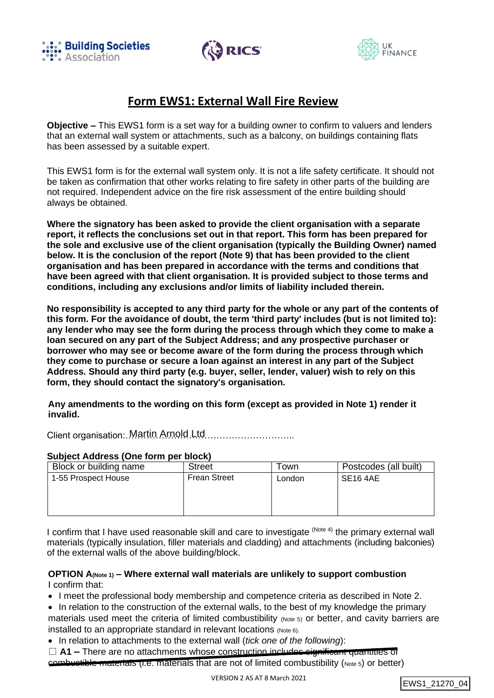





# **Form EWS1: External Wall Fire Review**

**Objective –** This EWS1 form is a set way for a building owner to confirm to valuers and lenders that an external wall system or attachments, such as a balcony, on buildings containing flats has been assessed by a suitable expert.

This EWS1 form is for the external wall system only. It is not a life safety certificate. It should not be taken as confirmation that other works relating to fire safety in other parts of the building are not required. Independent advice on the fire risk assessment of the entire building should always be obtained.

**Where the signatory has been asked to provide the client organisation with a separate report, it reflects the conclusions set out in that report. This form has been prepared for the sole and exclusive use of the client organisation (typically the Building Owner) named below. It is the conclusion of the report (Note 9) that has been provided to the client organisation and has been prepared in accordance with the terms and conditions that have been agreed with that client organisation. It is provided subject to those terms and conditions, including any exclusions and/or limits of liability included therein.**

**No responsibility is accepted to any third party for the whole or any part of the contents of this form. For the avoidance of doubt, the term 'third party' includes (but is not limited to): any lender who may see the form during the process through which they come to make a loan secured on any part of the Subject Address; and any prospective purchaser or borrower who may see or become aware of the form during the process through which they come to purchase or secure a loan against an interest in any part of the Subject Address. Should any third party (e.g. buyer, seller, lender, valuer) wish to rely on this form, they should contact the signatory's organisation.**

**Any amendments to the wording on this form (except as provided in Note 1) render it invalid.**

Client organisation: Martin Arnold Ltd............................

### **Subject Address (One form per block)**

| Block or building name | <b>Street</b>       | Гоwn   | Postcodes (all built) |
|------------------------|---------------------|--------|-----------------------|
| 1-55 Prospect House    | <b>Frean Street</b> | London | SE <sub>16</sub> 4AE  |
|                        |                     |        |                       |
|                        |                     |        |                       |
|                        |                     |        |                       |

I confirm that I have used reasonable skill and care to investigate <sup>(Note 4)</sup> the primary external wall materials (typically insulation, filler materials and cladding) and attachments (including balconies) of the external walls of the above building/block.

## **OPTION A(Note 1) – Where external wall materials are unlikely to support combustion** I confirm that:

• I meet the professional body membership and competence criteria as described in Note 2.

- In relation to the construction of the external walls, to the best of my knowledge the primary materials used meet the criteria of limited combustibility (Note 5) or better, and cavity barriers are installed to an appropriate standard in relevant locations (Note 6).
- In relation to attachments to the external wall (*tick one of the following*):
- □ **A1** There are no attachments whose construction includes significant quantities of combustible materials (i.e. materials that are not of limited combustibility (Note 5) or better)

```
EWS1_21270_04
```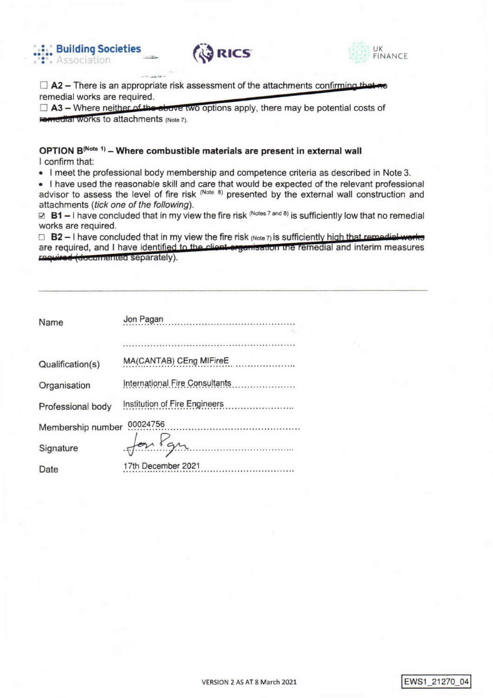





 $\Box$  A2 – There is an appropriate risk assessment of the attachments confirming that no remedial works are required.

 $\Box$  A3 – Where neither of the above two options apply, there may be potential costs of **Femedial WORKS to attachments (Note 7).** 

### OPTION B<sup>(Note 1)</sup> - Where combustible materials are present in external wall I confirm that:

. I meet the professional body membership and competence criteria as described in Note 3.

• I have used the reasonable skill and care that would be expected of the relevant professional advisor to assess the level of fire risk (Note 8) presented by the external wall construction and attachments (tick one of the following).

⊠ B1 – I have concluded that in my view the fire risk (Notes 7 and 8) is sufficiently low that no remedial works are required.

 $\Box$  B2 - I have concluded that in my view the fire risk (Note 7) is sufficiently high that remodial works are required, and I have identified to the client organisation the remedial and interim measures required (documented separately).

| Name              | Jon Pagan                                                              |
|-------------------|------------------------------------------------------------------------|
|                   |                                                                        |
| Qualification(s)  | MA(CANTAB) CEng MIFireE<br><b>The Committee of Committee Committee</b> |
| Organisation      | International Fire Consultants                                         |
| Professional body |                                                                        |
| Membership number | 00024756                                                               |
| Signature         | for You                                                                |
| Date              | 17th December 2021                                                     |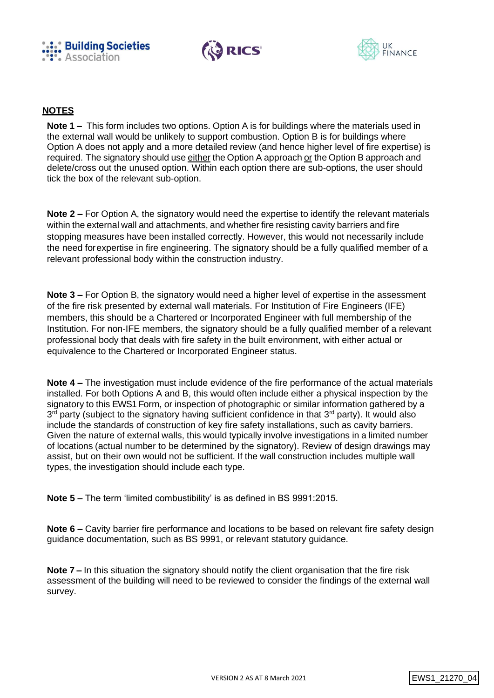





## **NOTES**

**Note 1 –** This form includes two options. Option A is for buildings where the materials used in the external wall would be unlikely to support combustion. Option B is for buildings where Option A does not apply and a more detailed review (and hence higher level of fire expertise) is required. The signatory should use either the Option A approach or the Option B approach and delete/cross out the unused option. Within each option there are sub-options, the user should tick the box of the relevant sub-option.

**Note 2 –** For Option A, the signatory would need the expertise to identify the relevant materials within the external wall and attachments, and whether fire resisting cavity barriers and fire stopping measures have been installed correctly. However, this would not necessarily include the need forexpertise in fire engineering. The signatory should be a fully qualified member of a relevant professional body within the construction industry.

**Note 3 –** For Option B, the signatory would need a higher level of expertise in the assessment of the fire risk presented by external wall materials. For Institution of Fire Engineers (IFE) members, this should be a Chartered or Incorporated Engineer with full membership of the Institution. For non-IFE members, the signatory should be a fully qualified member of a relevant professional body that deals with fire safety in the built environment, with either actual or equivalence to the Chartered or Incorporated Engineer status.

**Note 4 –** The investigation must include evidence of the fire performance of the actual materials installed. For both Options A and B, this would often include either a physical inspection by the signatory to this EWS1 Form, or inspection of photographic or similar information gathered by a 3<sup>rd</sup> party (subject to the signatory having sufficient confidence in that 3<sup>rd</sup> party). It would also include the standards of construction of key fire safety installations, such as cavity barriers. Given the nature of external walls, this would typically involve investigations in a limited number of locations (actual number to be determined by the signatory). Review of design drawings may assist, but on their own would not be sufficient. If the wall construction includes multiple wall types, the investigation should include each type.

**Note 5 –** The term 'limited combustibility' is as defined in BS 9991:2015.

**Note 6 –** Cavity barrier fire performance and locations to be based on relevant fire safety design guidance documentation, such as BS 9991, or relevant statutory guidance.

**Note 7 –** In this situation the signatory should notify the client organisation that the fire risk assessment of the building will need to be reviewed to consider the findings of the external wall survey.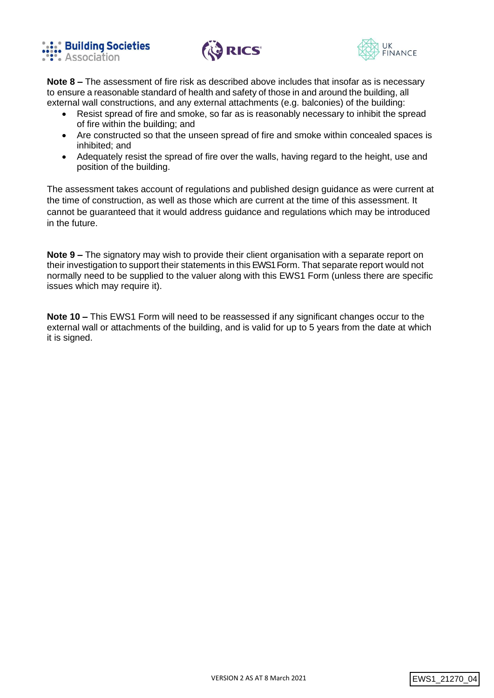





**Note 8 –** The assessment of fire risk as described above includes that insofar as is necessary to ensure a reasonable standard of health and safety of those in and around the building, all external wall constructions, and any external attachments (e.g. balconies) of the building:

- Resist spread of fire and smoke, so far as is reasonably necessary to inhibit the spread of fire within the building; and
- Are constructed so that the unseen spread of fire and smoke within concealed spaces is inhibited; and
- Adequately resist the spread of fire over the walls, having regard to the height, use and position of the building.

The assessment takes account of regulations and published design guidance as were current at the time of construction, as well as those which are current at the time of this assessment. It cannot be guaranteed that it would address guidance and regulations which may be introduced in the future.

**Note 9 –** The signatory may wish to provide their client organisation with a separate report on their investigation to support their statements in this EWS1 Form. That separate report would not normally need to be supplied to the valuer along with this EWS1 Form (unless there are specific issues which may require it).

**Note 10 –** This EWS1 Form will need to be reassessed if any significant changes occur to the external wall or attachments of the building, and is valid for up to 5 years from the date at which it is signed.